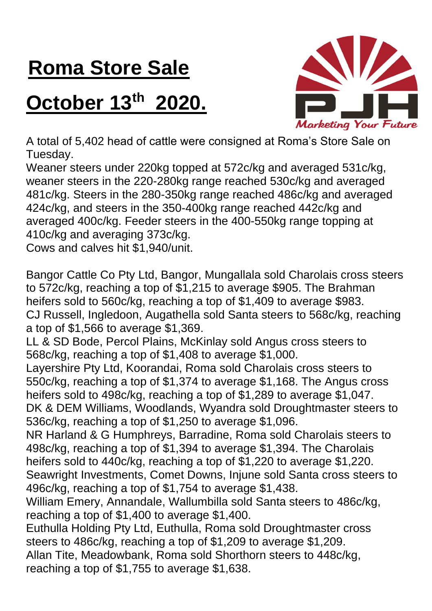## **Roma Store Sale**

## **October 13th 2020.**



A total of 5,402 head of cattle were consigned at Roma's Store Sale on Tuesday.

Weaner steers under 220kg topped at 572c/kg and averaged 531c/kg, weaner steers in the 220-280kg range reached 530c/kg and averaged 481c/kg. Steers in the 280-350kg range reached 486c/kg and averaged 424c/kg, and steers in the 350-400kg range reached 442c/kg and averaged 400c/kg. Feeder steers in the 400-550kg range topping at 410c/kg and averaging 373c/kg.

Cows and calves hit \$1,940/unit.

Bangor Cattle Co Pty Ltd, Bangor, Mungallala sold Charolais cross steers to 572c/kg, reaching a top of \$1,215 to average \$905. The Brahman heifers sold to 560c/kg, reaching a top of \$1,409 to average \$983. CJ Russell, Ingledoon, Augathella sold Santa steers to 568c/kg, reaching a top of \$1,566 to average \$1,369.

LL & SD Bode, Percol Plains, McKinlay sold Angus cross steers to 568c/kg, reaching a top of \$1,408 to average \$1,000.

Layershire Pty Ltd, Koorandai, Roma sold Charolais cross steers to 550c/kg, reaching a top of \$1,374 to average \$1,168. The Angus cross heifers sold to 498c/kg, reaching a top of \$1,289 to average \$1,047. DK & DEM Williams, Woodlands, Wyandra sold Droughtmaster steers to 536c/kg, reaching a top of \$1,250 to average \$1,096.

NR Harland & G Humphreys, Barradine, Roma sold Charolais steers to 498c/kg, reaching a top of \$1,394 to average \$1,394. The Charolais heifers sold to 440c/kg, reaching a top of \$1,220 to average \$1,220. Seawright Investments, Comet Downs, Injune sold Santa cross steers to 496c/kg, reaching a top of \$1,754 to average \$1,438.

William Emery, Annandale, Wallumbilla sold Santa steers to 486c/kg, reaching a top of \$1,400 to average \$1,400.

Euthulla Holding Pty Ltd, Euthulla, Roma sold Droughtmaster cross steers to 486c/kg, reaching a top of \$1,209 to average \$1,209. Allan Tite, Meadowbank, Roma sold Shorthorn steers to 448c/kg, reaching a top of \$1,755 to average \$1,638.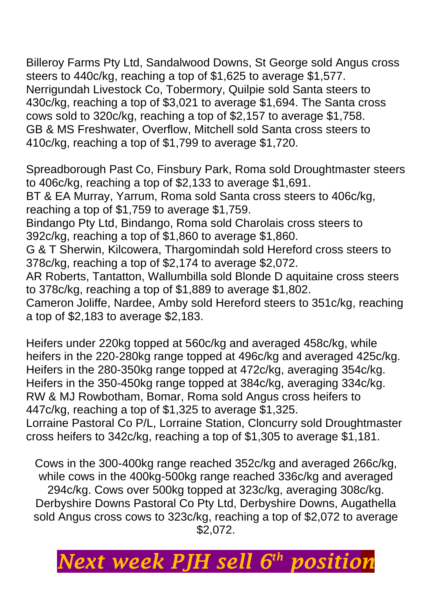Billeroy Farms Pty Ltd, Sandalwood Downs, St George sold Angus cross steers to 440c/kg, reaching a top of \$1,625 to average \$1,577. Nerrigundah Livestock Co, Tobermory, Quilpie sold Santa steers to 430c/kg, reaching a top of \$3,021 to average \$1,694. The Santa cross cows sold to 320c/kg, reaching a top of \$2,157 to average \$1,758. GB & MS Freshwater, Overflow, Mitchell sold Santa cross steers to 410c/kg, reaching a top of \$1,799 to average \$1,720.

Spreadborough Past Co, Finsbury Park, Roma sold Droughtmaster steers to 406c/kg, reaching a top of \$2,133 to average \$1,691.

BT & EA Murray, Yarrum, Roma sold Santa cross steers to 406c/kg, reaching a top of \$1,759 to average \$1,759.

Bindango Pty Ltd, Bindango, Roma sold Charolais cross steers to 392c/kg, reaching a top of \$1,860 to average \$1,860.

G & T Sherwin, Kilcowera, Thargomindah sold Hereford cross steers to 378c/kg, reaching a top of \$2,174 to average \$2,072.

AR Roberts, Tantatton, Wallumbilla sold Blonde D aquitaine cross steers to 378c/kg, reaching a top of \$1,889 to average \$1,802.

Cameron Joliffe, Nardee, Amby sold Hereford steers to 351c/kg, reaching a top of \$2,183 to average \$2,183.

Heifers under 220kg topped at 560c/kg and averaged 458c/kg, while heifers in the 220-280kg range topped at 496c/kg and averaged 425c/kg. Heifers in the 280-350kg range topped at 472c/kg, averaging 354c/kg. Heifers in the 350-450kg range topped at 384c/kg, averaging 334c/kg. RW & MJ Rowbotham, Bomar, Roma sold Angus cross heifers to 447c/kg, reaching a top of \$1,325 to average \$1,325.

Lorraine Pastoral Co P/L, Lorraine Station, Cloncurry sold Droughtmaster cross heifers to 342c/kg, reaching a top of \$1,305 to average \$1,181.

Cows in the 300-400kg range reached 352c/kg and averaged 266c/kg, while cows in the 400kg-500kg range reached 336c/kg and averaged 294c/kg. Cows over 500kg topped at 323c/kg, averaging 308c/kg. Derbyshire Downs Pastoral Co Pty Ltd, Derbyshire Downs, Augathella sold Angus cross cows to 323c/kg, reaching a top of \$2,072 to average \$2,072.